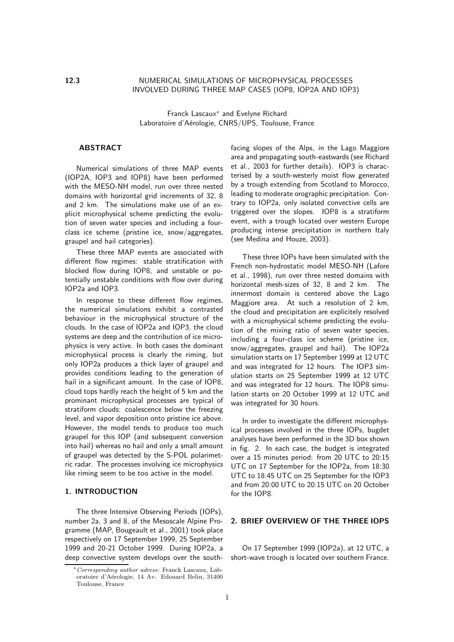# 12.3 NUMERICAL SIMULATIONS OF MICROPHYSICAL PROCESSES INVOLVED DURING THREE MAP CASES (IOP8, IOP2A AND IOP3)

Franck Lascaux∗ and Evelyne Richard Laboratoire d'Aérologie, CNRS/UPS, Toulouse, France

# **ABSTRACT**

Numerical simulations of three MAP events (IOP2A, IOP3 and IOP8) have been performed with the MESO-NH model, run over three nested domains with horizontal grid increments of 32, 8 and 2 km. The simulations make use of an explicit microphysical scheme predicting the evolution of seven water species and including a fourclass ice scheme (pristine ice, snow/aggregates, graupel and hail categories).

These three MAP events are associated with different flow regimes: stable stratification with blocked flow during IOP8, and unstable or potentially unstable conditions with flow over during IOP2a and IOP3.

In response to these different flow regimes, the numerical simulations exhibit a contrasted behaviour in the microphysical structure of the clouds. In the case of IOP2a and IOP3, the cloud systems are deep and the contribution of ice microphysics is very active. In both cases the dominant microphysical process is clearly the riming, but only IOP2a produces a thick layer of graupel and provides conditions leading to the generation of hail in a significant amount. In the case of IOP8, cloud tops hardly reach the height of 5 km and the prominant microphysical processes are typical of stratiform clouds: coalescence below the freezing level, and vapor deposition onto pristine ice above. However, the model tends to produce too much graupel for this IOP (and subsequent conversion into hail) whereas no hail and only a small amount of graupel was detected by the S-POL polarimetric radar. The processes involving ice microphysics like riming seem to be too active in the model.

## 1. INTRODUCTION

The three Intensive Observing Periods (IOPs), number 2a, 3 and 8, of the Mesoscale Alpine Programme (MAP, Bougeault et al., 2001) took place respectively on 17 September 1999, 25 September 1999 and 20-21 October 1999. During IOP2a, a deep convective system develops over the southfacing slopes of the Alps, in the Lago Maggiore area and propagating south-eastwards (see Richard et al., 2003 for further details). IOP3 is characterised by a south-westerly moist flow generated by a trough extending from Scotland to Morocco, leading to moderate orographic precipitation. Contrary to IOP2a, only isolated convective cells are triggered over the slopes. IOP8 is a stratiform event, with a trough located over western Europe producing intense precipitation in northern Italy (see Medina and Houze, 2003).

These three IOPs have been simulated with the French non-hydrostatic model MESO-NH (Lafore et al., 1998), run over three nested domains with horizontal mesh-sizes of 32, 8 and 2 km. The innermost domain is centered above the Lago Maggiore area. At such a resolution of 2 km, the cloud and precipitation are explicitely resolved with a microphysical scheme predicting the evolution of the mixing ratio of seven water species, including a four-class ice scheme (pristine ice, snow/aggregates, graupel and hail). The IOP2a simulation starts on 17 September 1999 at 12 UTC and was integrated for 12 hours. The IOP3 simulation starts on 25 September 1999 at 12 UTC and was integrated for 12 hours. The IOP8 simulation starts on 20 October 1999 at 12 UTC and was integrated for 30 hours.

In order to investigate the different microphysical processes involved in the three IOPs, bugdet analyses have been performed in the 3D box shown in fig. 2. In each case, the budget is integrated over a 15 minutes period: from 20 UTC to 20:15 UTC on 17 September for the IOP2a, from 18:30 UTC to 18:45 UTC on 25 September for the IOP3 and from 20:00 UTC to 20:15 UTC on 20 October for the IOP8.

## 2. BRIEF OVERVIEW OF THE THREE IOPS

On 17 September 1999 (IOP2a), at 12 UTC, a short-wave trough is located over southern France.

<sup>∗</sup>Corresponding author adress: Franck Lascaux, Laboratoire d'A´erologie, 14 Av. Edouard Belin, 31400 Toulouse, France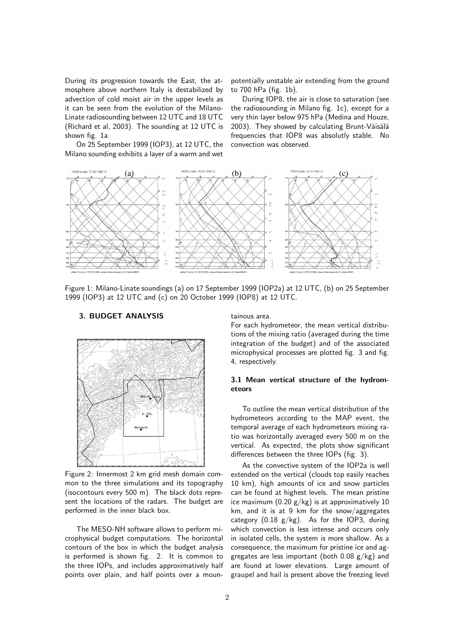During its progression towards the East, the atmosphere above northern Italy is destabilized by advection of cold moist air in the upper levels as it can be seen from the evolution of the Milano-Linate radiosounding between 12 UTC and 18 UTC (Richard et al, 2003). The sounding at 12 UTC is shown fig. 1a.

On 25 September 1999 (IOP3), at 12 UTC, the Milano sounding exhibits a layer of a warm and wet

potentially unstable air extending from the ground to 700 hPa (fig. 1b).

During IOP8, the air is close to saturation (see the radiosounding in Milano fig. 1c), except for a very thin layer below 975 hPa (Medina and Houze, 2003). They showed by calculating Brunt-Väisälä frequencies that IOP8 was absolutly stable. No convection was observed.



Figure 1: Milano-Linate soundings (a) on 17 September 1999 (IOP2a) at 12 UTC, (b) on 25 September 1999 (IOP3) at 12 UTC and (c) on 20 October 1999 (IOP8) at 12 UTC.

3. BUDGET ANALYSIS

Figure 2: Innermost 2 km grid mesh domain common to the three simulations and its topography (isocontours every 500 m). The black dots represent the locations of the radars. The budget are performed in the inner black box.

The MESO-NH software allows to perform microphysical budget computations. The horizontal contours of the box in which the budget analysis is performed is shown fig. 2. It is common to the three IOPs, and includes approximatively half points over plain, and half points over a mountainous area.

For each hydrometeor, the mean vertical distributions of the mixing ratio (averaged during the time integration of the budget) and of the associated microphysical processes are plotted fig. 3 and fig. 4, respectively.

# 3.1 Mean vertical structure of the hydrometeors

To outline the mean vertical distribution of the hydrometeors according to the MAP event, the temporal average of each hydrometeors mixing ratio was horizontally averaged every 500 m on the vertical. As expected, the plots show significant differences between the three IOPs (fig. 3).

As the convective system of the IOP2a is well extended on the vertical (clouds top easily reaches 10 km), high amounts of ice and snow particles can be found at highest levels. The mean pristine ice maximum  $(0.20 \text{ g/kg})$  is at approximatively 10 km, and it is at 9 km for the snow/aggregates category  $(0.18 \text{ g/kg})$ . As for the IOP3, during which convection is less intense and occurs only in isolated cells, the system is more shallow. As a consequence, the maximum for pristine ice and aggregates are less important (both  $0.08$  g/kg) and are found at lower elevations. Large amount of graupel and hail is present above the freezing level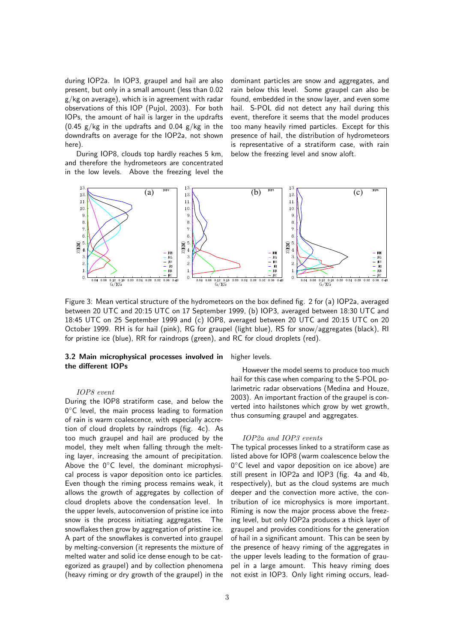during IOP2a. In IOP3, graupel and hail are also present, but only in a small amount (less than 0.02 g/kg on average), which is in agreement with radar observations of this IOP (Pujol, 2003). For both IOPs, the amount of hail is larger in the updrafts  $(0.45 \text{ g/kg}$  in the updrafts and  $0.04 \text{ g/kg}$  in the downdrafts on average for the IOP2a, not shown here).

During IOP8, clouds top hardly reaches 5 km, and therefore the hydrometeors are concentrated in the low levels. Above the freezing level the dominant particles are snow and aggregates, and rain below this level. Some graupel can also be found, embedded in the snow layer, and even some hail. S-POL did not detect any hail during this event, therefore it seems that the model produces too many heavily rimed particles. Except for this presence of hail, the distribution of hydrometeors is representative of a stratiform case, with rain below the freezing level and snow aloft.



Figure 3: Mean vertical structure of the hydrometeors on the box defined fig. 2 for (a) IOP2a, averaged between 20 UTC and 20:15 UTC on 17 September 1999, (b) IOP3, averaged between 18:30 UTC and 18:45 UTC on 25 September 1999 and (c) IOP8, averaged between 20 UTC and 20:15 UTC on 20 October 1999. RH is for hail (pink), RG for graupel (light blue), RS for snow/aggregates (black), RI for pristine ice (blue), RR for raindrops (green), and RC for cloud droplets (red).

## 3.2 Main microphysical processes involved in the different IOPs

#### IOP8 event

During the IOP8 stratiform case, and below the  $0^{\circ}$ C level, the main process leading to formation of rain is warm coalescence, with especially accretion of cloud droplets by raindrops (fig. 4c). As too much graupel and hail are produced by the model, they melt when falling through the melting layer, increasing the amount of precipitation. Above the  $0^{\circ}$ C level, the dominant microphysical process is vapor deposition onto ice particles. Even though the riming process remains weak, it allows the growth of aggregates by collection of cloud droplets above the condensation level. In the upper levels, autoconversion of pristine ice into snow is the process initiating aggregates. The snowflakes then grow by aggregation of pristine ice. A part of the snowflakes is converted into graupel by melting-conversion (it represents the mixture of melted water and solid ice dense enough to be categorized as graupel) and by collection phenomena (heavy riming or dry growth of the graupel) in the higher levels.

However the model seems to produce too much hail for this case when comparing to the S-POL polarimetric radar observations (Medina and Houze, 2003). An important fraction of the graupel is converted into hailstones which grow by wet growth, thus consuming graupel and aggregates.

#### IOP2a and IOP3 events

The typical processes linked to a stratiform case as listed above for IOP8 (warm coalescence below the  $0^{\circ}$ C level and vapor deposition on ice above) are still present in IOP2a and IOP3 (fig. 4a and 4b, respectively), but as the cloud systems are much deeper and the convection more active, the contribution of ice microphysics is more important. Riming is now the major process above the freezing level, but only IOP2a produces a thick layer of graupel and provides conditions for the generation of hail in a significant amount. This can be seen by the presence of heavy riming of the aggregates in the upper levels leading to the formation of graupel in a large amount. This heavy riming does not exist in IOP3. Only light riming occurs, lead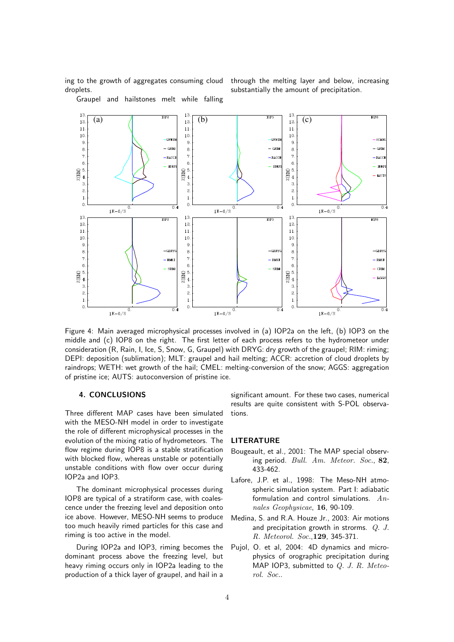ing to the growth of aggregates consuming cloud droplets.

through the melting layer and below, increasing substantially the amount of precipitation.

Graupel and hailstones melt while falling



Figure 4: Main averaged microphysical processes involved in (a) IOP2a on the left, (b) IOP3 on the middle and (c) IOP8 on the right. The first letter of each process refers to the hydrometeor under consideration (R, Rain, I, Ice, S, Snow, G, Graupel) with DRYG: dry growth of the graupel; RIM: riming; DEPI: deposition (sublimation); MLT: graupel and hail melting; ACCR: accretion of cloud droplets by raindrops; WETH: wet growth of the hail; CMEL: melting-conversion of the snow; AGGS: aggregation of pristine ice; AUTS: autoconversion of pristine ice.

## 4. CONCLUSIONS

Three different MAP cases have been simulated with the MESO-NH model in order to investigate the role of different microphysical processes in the evolution of the mixing ratio of hydrometeors. The flow regime during IOP8 is a stable stratification with blocked flow, whereas unstable or potentially unstable conditions with flow over occur during IOP2a and IOP3.

The dominant microphysical processes during IOP8 are typical of a stratiform case, with coalescence under the freezing level and deposition onto ice above. However, MESO-NH seems to produce too much heavily rimed particles for this case and riming is too active in the model.

During IOP2a and IOP3, riming becomes the dominant process above the freezing level, but heavy riming occurs only in IOP2a leading to the production of a thick layer of graupel, and hail in a

significant amount. For these two cases, numerical results are quite consistent with S-POL observations.

## LITERATURE

- Bougeault, et al., 2001: The MAP special observing period. Bull. Am. Meteor. Soc., 82, 433-462.
- Lafore, J.P. et al., 1998: The Meso-NH atmospheric simulation system. Part I: adiabatic formulation and control simulations.  $An$ nales Geophysicae, 16, 90-109.
- Medina, S. and R.A. Houze Jr., 2003: Air motions and precipitation growth in strorms. Q. J. R. Meteorol. Soc.,129, 345-371.
- Pujol, O. et al, 2004: 4D dynamics and microphysics of orographic precipitation during MAP IOP3, submitted to  $Q.$  J. R. Meteorol. Soc..